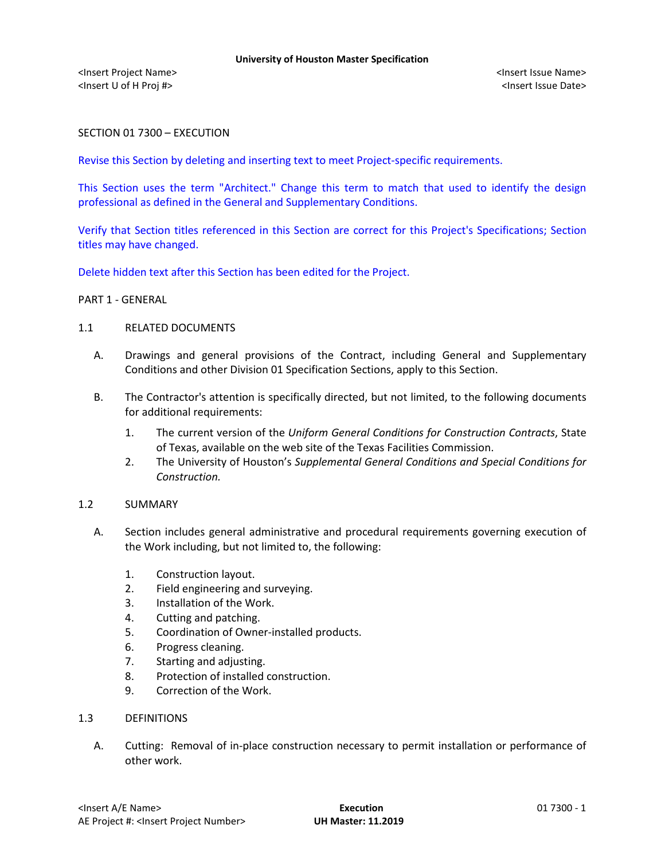<Insert Project Name> <Insert Issue Name> <Insert U of H Proj #> <Insert Issue Date>

SECTION 01 7300 – EXECUTION

Revise this Section by deleting and inserting text to meet Project-specific requirements.

This Section uses the term "Architect." Change this term to match that used to identify the design professional as defined in the General and Supplementary Conditions.

Verify that Section titles referenced in this Section are correct for this Project's Specifications; Section titles may have changed.

Delete hidden text after this Section has been edited for the Project.

#### PART 1 - GENERAL

### 1.1 RELATED DOCUMENTS

- A. Drawings and general provisions of the Contract, including General and Supplementary Conditions and other Division 01 Specification Sections, apply to this Section.
- B. The Contractor's attention is specifically directed, but not limited, to the following documents for additional requirements:
	- 1. The current version of the *Uniform General Conditions for Construction Contracts*, State of Texas, available on the web site of the Texas Facilities Commission.
	- 2. The University of Houston's *Supplemental General Conditions and Special Conditions for Construction.*

### 1.2 SUMMARY

- A. Section includes general administrative and procedural requirements governing execution of the Work including, but not limited to, the following:
	- 1. Construction layout.
	- 2. Field engineering and surveying.
	- 3. Installation of the Work.
	- 4. Cutting and patching.
	- 5. Coordination of Owner-installed products.
	- 6. Progress cleaning.
	- 7. Starting and adjusting.
	- 8. Protection of installed construction.
	- 9. Correction of the Work.

## 1.3 DEFINITIONS

A. Cutting: Removal of in-place construction necessary to permit installation or performance of other work.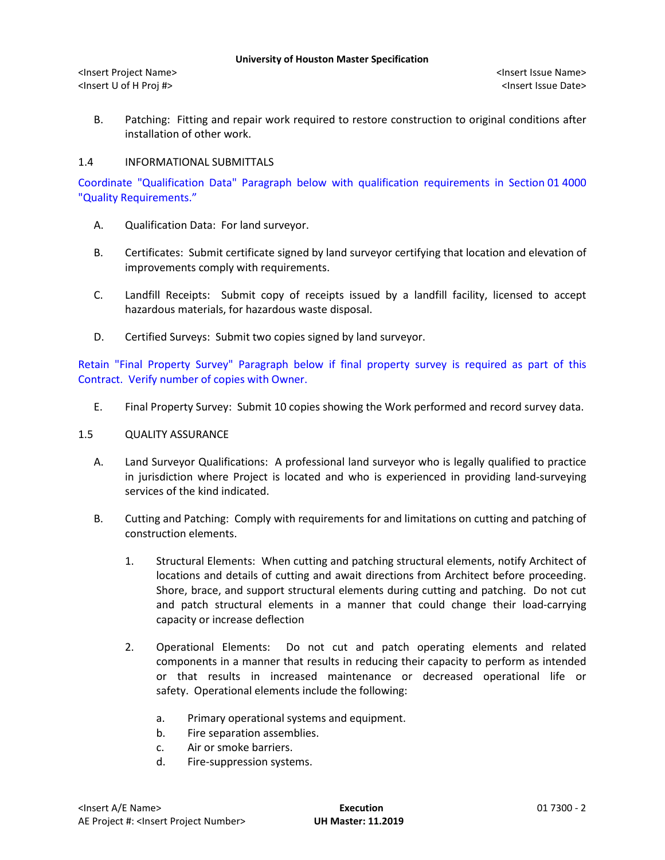<Insert Project Name> <Insert Issue Name> <Insert U of H Proj #> <Insert Issue Date>

B. Patching: Fitting and repair work required to restore construction to original conditions after installation of other work.

## 1.4 INFORMATIONAL SUBMITTALS

Coordinate "Qualification Data" Paragraph below with qualification requirements in Section 01 4000 "Quality Requirements."

- A. Qualification Data: For land surveyor.
- B. Certificates: Submit certificate signed by land surveyor certifying that location and elevation of improvements comply with requirements.
- C. Landfill Receipts: Submit copy of receipts issued by a landfill facility, licensed to accept hazardous materials, for hazardous waste disposal.
- D. Certified Surveys: Submit two copies signed by land surveyor.

Retain "Final Property Survey" Paragraph below if final property survey is required as part of this Contract. Verify number of copies with Owner.

E. Final Property Survey: Submit 10 copies showing the Work performed and record survey data.

### 1.5 QUALITY ASSURANCE

- A. Land Surveyor Qualifications: A professional land surveyor who is legally qualified to practice in jurisdiction where Project is located and who is experienced in providing land-surveying services of the kind indicated.
- B. Cutting and Patching: Comply with requirements for and limitations on cutting and patching of construction elements.
	- 1. Structural Elements: When cutting and patching structural elements, notify Architect of locations and details of cutting and await directions from Architect before proceeding. Shore, brace, and support structural elements during cutting and patching. Do not cut and patch structural elements in a manner that could change their load-carrying capacity or increase deflection
	- 2. Operational Elements: Do not cut and patch operating elements and related components in a manner that results in reducing their capacity to perform as intended or that results in increased maintenance or decreased operational life or safety. Operational elements include the following:
		- a. Primary operational systems and equipment.
		- b. Fire separation assemblies.
		- c. Air or smoke barriers.
		- d. Fire-suppression systems.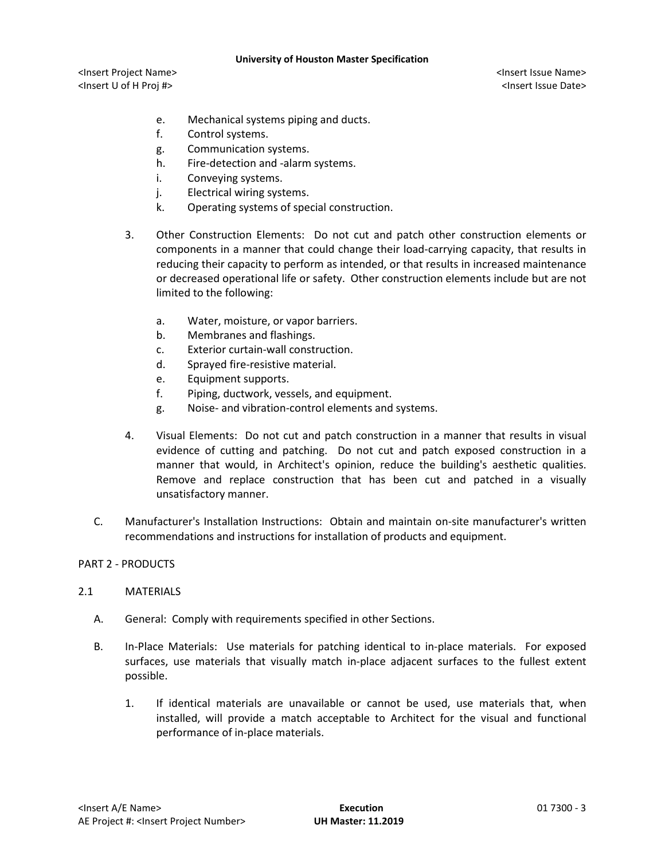<Insert Project Name> <Insert Issue Name> <Insert U of H Proj #> <Insert Issue Date>

- e. Mechanical systems piping and ducts.
- f. Control systems.
- g. Communication systems.
- h. Fire-detection and -alarm systems.
- i. Conveying systems.
- j. Electrical wiring systems.
- k. Operating systems of special construction.
- 3. Other Construction Elements: Do not cut and patch other construction elements or components in a manner that could change their load-carrying capacity, that results in reducing their capacity to perform as intended, or that results in increased maintenance or decreased operational life or safety. Other construction elements include but are not limited to the following:
	- a. Water, moisture, or vapor barriers.
	- b. Membranes and flashings.
	- c. Exterior curtain-wall construction.
	- d. Sprayed fire-resistive material.
	- e. Equipment supports.
	- f. Piping, ductwork, vessels, and equipment.
	- g. Noise- and vibration-control elements and systems.
- 4. Visual Elements: Do not cut and patch construction in a manner that results in visual evidence of cutting and patching. Do not cut and patch exposed construction in a manner that would, in Architect's opinion, reduce the building's aesthetic qualities. Remove and replace construction that has been cut and patched in a visually unsatisfactory manner.
- C. Manufacturer's Installation Instructions: Obtain and maintain on-site manufacturer's written recommendations and instructions for installation of products and equipment.

# PART 2 - PRODUCTS

# 2.1 MATERIALS

- A. General: Comply with requirements specified in other Sections.
- B. In-Place Materials: Use materials for patching identical to in-place materials. For exposed surfaces, use materials that visually match in-place adjacent surfaces to the fullest extent possible.
	- 1. If identical materials are unavailable or cannot be used, use materials that, when installed, will provide a match acceptable to Architect for the visual and functional performance of in-place materials.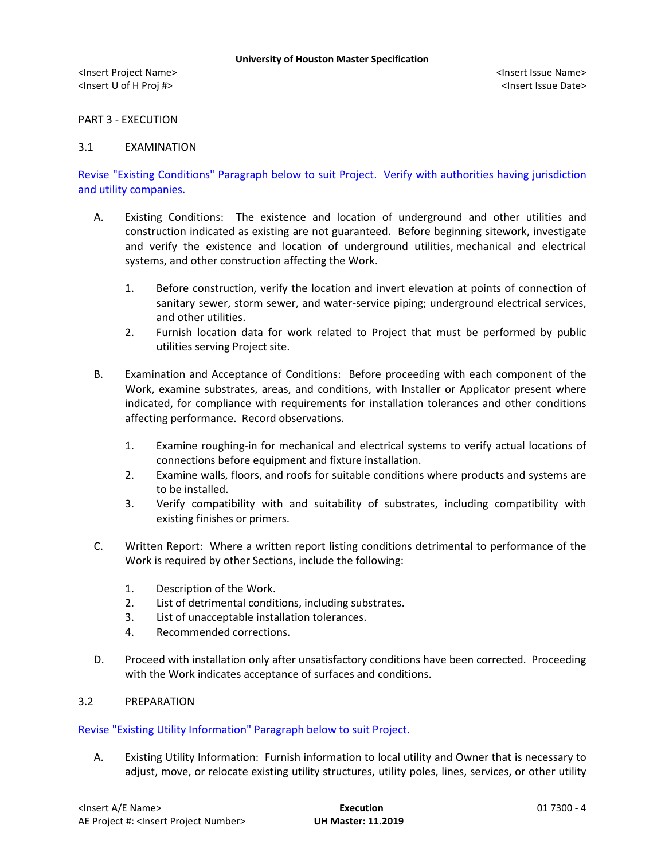PART 3 - EXECUTION

## 3.1 EXAMINATION

Revise "Existing Conditions" Paragraph below to suit Project. Verify with authorities having jurisdiction and utility companies.

- A. Existing Conditions: The existence and location of underground and other utilities and construction indicated as existing are not guaranteed. Before beginning sitework, investigate and verify the existence and location of underground utilities, mechanical and electrical systems, and other construction affecting the Work.
	- 1. Before construction, verify the location and invert elevation at points of connection of sanitary sewer, storm sewer, and water-service piping; underground electrical services, and other utilities.
	- 2. Furnish location data for work related to Project that must be performed by public utilities serving Project site.
- B. Examination and Acceptance of Conditions: Before proceeding with each component of the Work, examine substrates, areas, and conditions, with Installer or Applicator present where indicated, for compliance with requirements for installation tolerances and other conditions affecting performance. Record observations.
	- 1. Examine roughing-in for mechanical and electrical systems to verify actual locations of connections before equipment and fixture installation.
	- 2. Examine walls, floors, and roofs for suitable conditions where products and systems are to be installed.
	- 3. Verify compatibility with and suitability of substrates, including compatibility with existing finishes or primers.
- C. Written Report: Where a written report listing conditions detrimental to performance of the Work is required by other Sections, include the following:
	- 1. Description of the Work.
	- 2. List of detrimental conditions, including substrates.
	- 3. List of unacceptable installation tolerances.
	- 4. Recommended corrections.
- D. Proceed with installation only after unsatisfactory conditions have been corrected. Proceeding with the Work indicates acceptance of surfaces and conditions.

# 3.2 PREPARATION

# Revise "Existing Utility Information" Paragraph below to suit Project.

A. Existing Utility Information: Furnish information to local utility and Owner that is necessary to adjust, move, or relocate existing utility structures, utility poles, lines, services, or other utility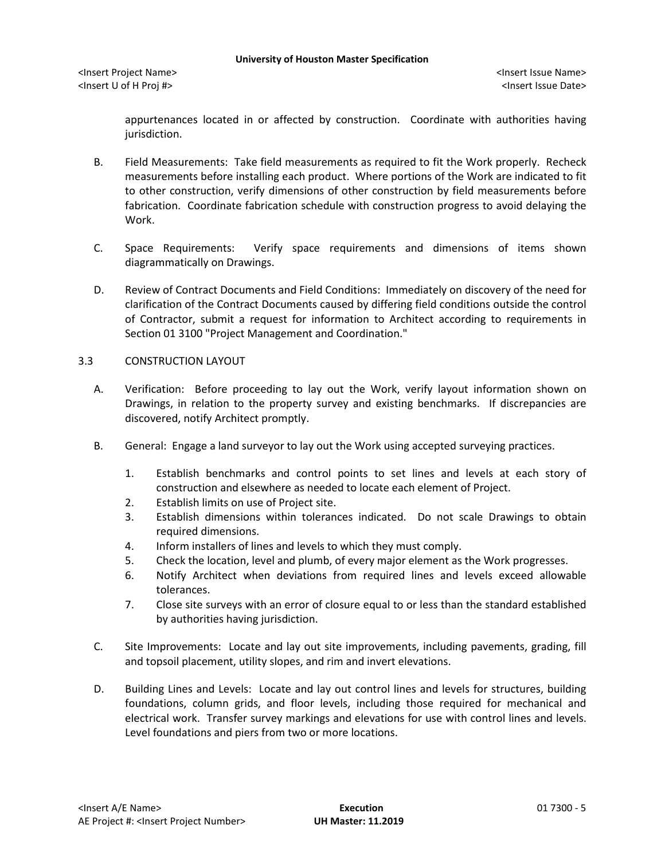<Insert Project Name> <Insert Issue Name> <Insert U of H Proj #> <Insert Issue Date>

appurtenances located in or affected by construction. Coordinate with authorities having jurisdiction.

- B. Field Measurements: Take field measurements as required to fit the Work properly. Recheck measurements before installing each product. Where portions of the Work are indicated to fit to other construction, verify dimensions of other construction by field measurements before fabrication. Coordinate fabrication schedule with construction progress to avoid delaying the Work.
- C. Space Requirements: Verify space requirements and dimensions of items shown diagrammatically on Drawings.
- D. Review of Contract Documents and Field Conditions: Immediately on discovery of the need for clarification of the Contract Documents caused by differing field conditions outside the control of Contractor, submit a request for information to Architect according to requirements in Section 01 3100 "Project Management and Coordination."

## 3.3 CONSTRUCTION LAYOUT

- A. Verification: Before proceeding to lay out the Work, verify layout information shown on Drawings, in relation to the property survey and existing benchmarks. If discrepancies are discovered, notify Architect promptly.
- B. General: Engage a land surveyor to lay out the Work using accepted surveying practices.
	- 1. Establish benchmarks and control points to set lines and levels at each story of construction and elsewhere as needed to locate each element of Project.
	- 2. Establish limits on use of Project site.
	- 3. Establish dimensions within tolerances indicated. Do not scale Drawings to obtain required dimensions.
	- 4. Inform installers of lines and levels to which they must comply.
	- 5. Check the location, level and plumb, of every major element as the Work progresses.
	- 6. Notify Architect when deviations from required lines and levels exceed allowable tolerances.
	- 7. Close site surveys with an error of closure equal to or less than the standard established by authorities having jurisdiction.
- C. Site Improvements: Locate and lay out site improvements, including pavements, grading, fill and topsoil placement, utility slopes, and rim and invert elevations.
- D. Building Lines and Levels: Locate and lay out control lines and levels for structures, building foundations, column grids, and floor levels, including those required for mechanical and electrical work. Transfer survey markings and elevations for use with control lines and levels. Level foundations and piers from two or more locations.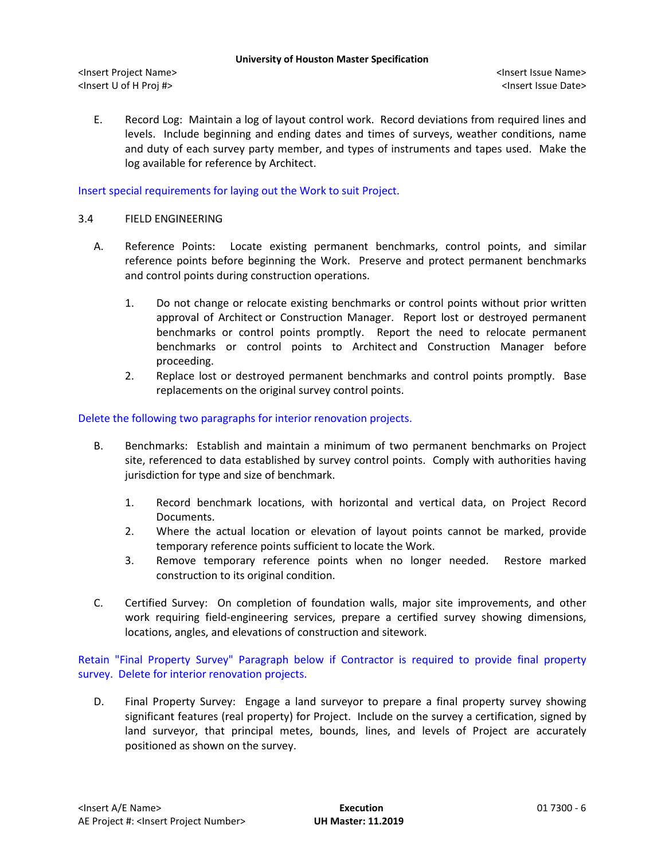<Insert Project Name> <Insert Issue Name> <Insert U of H Proj #> <Insert Issue Date>

E. Record Log: Maintain a log of layout control work. Record deviations from required lines and levels. Include beginning and ending dates and times of surveys, weather conditions, name and duty of each survey party member, and types of instruments and tapes used. Make the log available for reference by Architect.

# Insert special requirements for laying out the Work to suit Project.

## 3.4 FIELD ENGINEERING

- A. Reference Points: Locate existing permanent benchmarks, control points, and similar reference points before beginning the Work. Preserve and protect permanent benchmarks and control points during construction operations.
	- 1. Do not change or relocate existing benchmarks or control points without prior written approval of Architect or Construction Manager. Report lost or destroyed permanent benchmarks or control points promptly. Report the need to relocate permanent benchmarks or control points to Architect and Construction Manager before proceeding.
	- 2. Replace lost or destroyed permanent benchmarks and control points promptly. Base replacements on the original survey control points.

## Delete the following two paragraphs for interior renovation projects.

- B. Benchmarks: Establish and maintain a minimum of two permanent benchmarks on Project site, referenced to data established by survey control points. Comply with authorities having jurisdiction for type and size of benchmark.
	- 1. Record benchmark locations, with horizontal and vertical data, on Project Record Documents.
	- 2. Where the actual location or elevation of layout points cannot be marked, provide temporary reference points sufficient to locate the Work.
	- 3. Remove temporary reference points when no longer needed. Restore marked construction to its original condition.
- C. Certified Survey: On completion of foundation walls, major site improvements, and other work requiring field-engineering services, prepare a certified survey showing dimensions, locations, angles, and elevations of construction and sitework.

Retain "Final Property Survey" Paragraph below if Contractor is required to provide final property survey. Delete for interior renovation projects.

D. Final Property Survey: Engage a land surveyor to prepare a final property survey showing significant features (real property) for Project. Include on the survey a certification, signed by land surveyor, that principal metes, bounds, lines, and levels of Project are accurately positioned as shown on the survey.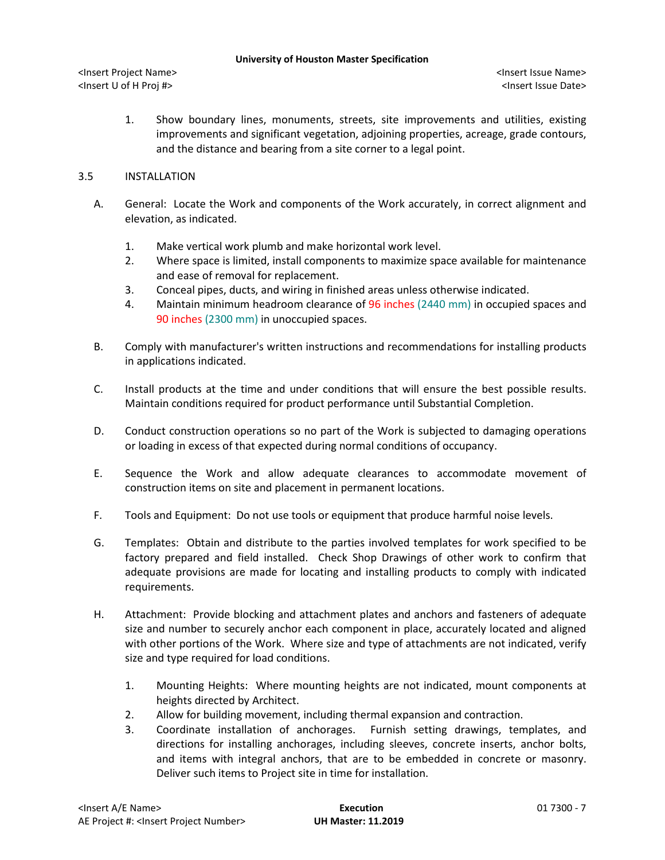<Insert Project Name> <Insert Issue Name> <Insert U of H Proj #> <Insert Issue Date>

1. Show boundary lines, monuments, streets, site improvements and utilities, existing improvements and significant vegetation, adjoining properties, acreage, grade contours, and the distance and bearing from a site corner to a legal point.

# 3.5 INSTALLATION

- A. General: Locate the Work and components of the Work accurately, in correct alignment and elevation, as indicated.
	- 1. Make vertical work plumb and make horizontal work level.
	- 2. Where space is limited, install components to maximize space available for maintenance and ease of removal for replacement.
	- 3. Conceal pipes, ducts, and wiring in finished areas unless otherwise indicated.
	- 4. Maintain minimum headroom clearance of 96 inches (2440 mm) in occupied spaces and 90 inches (2300 mm) in unoccupied spaces.
- B. Comply with manufacturer's written instructions and recommendations for installing products in applications indicated.
- C. Install products at the time and under conditions that will ensure the best possible results. Maintain conditions required for product performance until Substantial Completion.
- D. Conduct construction operations so no part of the Work is subjected to damaging operations or loading in excess of that expected during normal conditions of occupancy.
- E. Sequence the Work and allow adequate clearances to accommodate movement of construction items on site and placement in permanent locations.
- F. Tools and Equipment: Do not use tools or equipment that produce harmful noise levels.
- G. Templates: Obtain and distribute to the parties involved templates for work specified to be factory prepared and field installed. Check Shop Drawings of other work to confirm that adequate provisions are made for locating and installing products to comply with indicated requirements.
- H. Attachment: Provide blocking and attachment plates and anchors and fasteners of adequate size and number to securely anchor each component in place, accurately located and aligned with other portions of the Work. Where size and type of attachments are not indicated, verify size and type required for load conditions.
	- 1. Mounting Heights: Where mounting heights are not indicated, mount components at heights directed by Architect.
	- 2. Allow for building movement, including thermal expansion and contraction.
	- 3. Coordinate installation of anchorages. Furnish setting drawings, templates, and directions for installing anchorages, including sleeves, concrete inserts, anchor bolts, and items with integral anchors, that are to be embedded in concrete or masonry. Deliver such items to Project site in time for installation.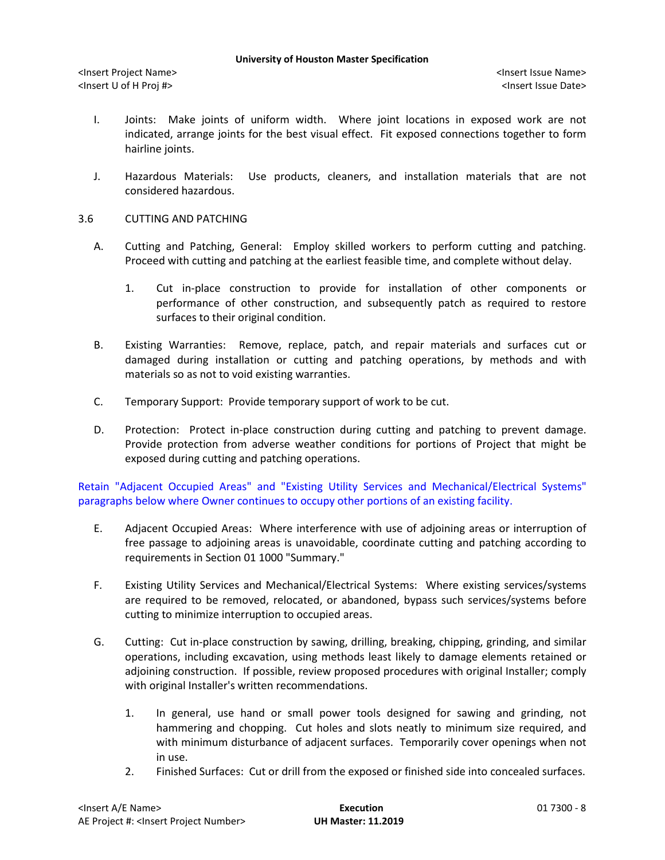- I. Joints: Make joints of uniform width. Where joint locations in exposed work are not indicated, arrange joints for the best visual effect. Fit exposed connections together to form hairline joints.
- J. Hazardous Materials: Use products, cleaners, and installation materials that are not considered hazardous.
- 3.6 CUTTING AND PATCHING
	- A. Cutting and Patching, General: Employ skilled workers to perform cutting and patching. Proceed with cutting and patching at the earliest feasible time, and complete without delay.
		- 1. Cut in-place construction to provide for installation of other components or performance of other construction, and subsequently patch as required to restore surfaces to their original condition.
	- B. Existing Warranties: Remove, replace, patch, and repair materials and surfaces cut or damaged during installation or cutting and patching operations, by methods and with materials so as not to void existing warranties.
	- C. Temporary Support: Provide temporary support of work to be cut.
	- D. Protection: Protect in-place construction during cutting and patching to prevent damage. Provide protection from adverse weather conditions for portions of Project that might be exposed during cutting and patching operations.

Retain "Adjacent Occupied Areas" and "Existing Utility Services and Mechanical/Electrical Systems" paragraphs below where Owner continues to occupy other portions of an existing facility.

- E. Adjacent Occupied Areas: Where interference with use of adjoining areas or interruption of free passage to adjoining areas is unavoidable, coordinate cutting and patching according to requirements in Section 01 1000 "Summary."
- F. Existing Utility Services and Mechanical/Electrical Systems: Where existing services/systems are required to be removed, relocated, or abandoned, bypass such services/systems before cutting to minimize interruption to occupied areas.
- G. Cutting: Cut in-place construction by sawing, drilling, breaking, chipping, grinding, and similar operations, including excavation, using methods least likely to damage elements retained or adjoining construction. If possible, review proposed procedures with original Installer; comply with original Installer's written recommendations.
	- 1. In general, use hand or small power tools designed for sawing and grinding, not hammering and chopping. Cut holes and slots neatly to minimum size required, and with minimum disturbance of adjacent surfaces. Temporarily cover openings when not in use.
	- 2. Finished Surfaces: Cut or drill from the exposed or finished side into concealed surfaces.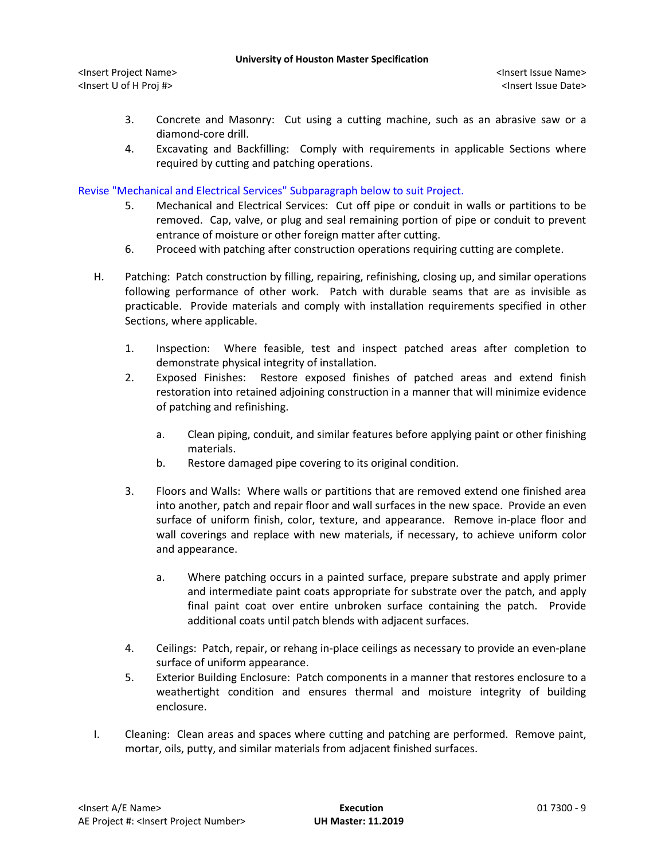<Insert Project Name> <Insert Issue Name> <Insert U of H Proj #> <Insert Issue Date>

- 3. Concrete and Masonry: Cut using a cutting machine, such as an abrasive saw or a diamond-core drill.
- 4. Excavating and Backfilling: Comply with requirements in applicable Sections where required by cutting and patching operations.

# Revise "Mechanical and Electrical Services" Subparagraph below to suit Project.

- 5. Mechanical and Electrical Services: Cut off pipe or conduit in walls or partitions to be removed. Cap, valve, or plug and seal remaining portion of pipe or conduit to prevent entrance of moisture or other foreign matter after cutting.
- 6. Proceed with patching after construction operations requiring cutting are complete.
- H. Patching: Patch construction by filling, repairing, refinishing, closing up, and similar operations following performance of other work. Patch with durable seams that are as invisible as practicable. Provide materials and comply with installation requirements specified in other Sections, where applicable.
	- 1. Inspection: Where feasible, test and inspect patched areas after completion to demonstrate physical integrity of installation.
	- 2. Exposed Finishes: Restore exposed finishes of patched areas and extend finish restoration into retained adjoining construction in a manner that will minimize evidence of patching and refinishing.
		- a. Clean piping, conduit, and similar features before applying paint or other finishing materials.
		- b. Restore damaged pipe covering to its original condition.
	- 3. Floors and Walls: Where walls or partitions that are removed extend one finished area into another, patch and repair floor and wall surfaces in the new space. Provide an even surface of uniform finish, color, texture, and appearance. Remove in-place floor and wall coverings and replace with new materials, if necessary, to achieve uniform color and appearance.
		- a. Where patching occurs in a painted surface, prepare substrate and apply primer and intermediate paint coats appropriate for substrate over the patch, and apply final paint coat over entire unbroken surface containing the patch. Provide additional coats until patch blends with adjacent surfaces.
	- 4. Ceilings: Patch, repair, or rehang in-place ceilings as necessary to provide an even-plane surface of uniform appearance.
	- 5. Exterior Building Enclosure: Patch components in a manner that restores enclosure to a weathertight condition and ensures thermal and moisture integrity of building enclosure.
- I. Cleaning: Clean areas and spaces where cutting and patching are performed. Remove paint, mortar, oils, putty, and similar materials from adjacent finished surfaces.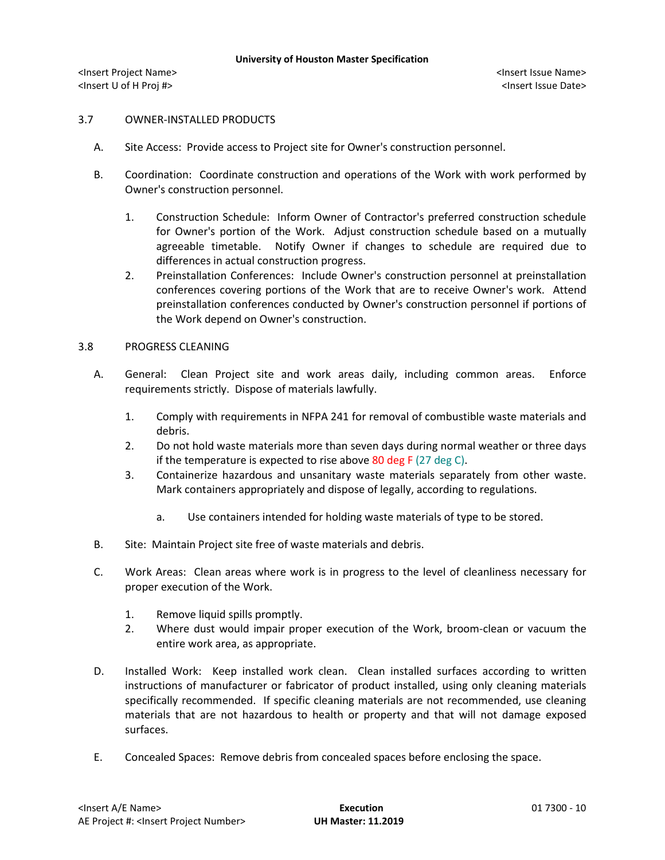# 3.7 OWNER-INSTALLED PRODUCTS

- A. Site Access: Provide access to Project site for Owner's construction personnel.
- B. Coordination: Coordinate construction and operations of the Work with work performed by Owner's construction personnel.
	- 1. Construction Schedule: Inform Owner of Contractor's preferred construction schedule for Owner's portion of the Work. Adjust construction schedule based on a mutually agreeable timetable. Notify Owner if changes to schedule are required due to differences in actual construction progress.
	- 2. Preinstallation Conferences: Include Owner's construction personnel at preinstallation conferences covering portions of the Work that are to receive Owner's work. Attend preinstallation conferences conducted by Owner's construction personnel if portions of the Work depend on Owner's construction.

### 3.8 PROGRESS CLEANING

- A. General: Clean Project site and work areas daily, including common areas. Enforce requirements strictly. Dispose of materials lawfully.
	- 1. Comply with requirements in NFPA 241 for removal of combustible waste materials and debris.
	- 2. Do not hold waste materials more than seven days during normal weather or three days if the temperature is expected to rise above  $80$  deg F (27 deg C).
	- 3. Containerize hazardous and unsanitary waste materials separately from other waste. Mark containers appropriately and dispose of legally, according to regulations.
		- a. Use containers intended for holding waste materials of type to be stored.
- B. Site: Maintain Project site free of waste materials and debris.
- C. Work Areas: Clean areas where work is in progress to the level of cleanliness necessary for proper execution of the Work.
	- 1. Remove liquid spills promptly.
	- 2. Where dust would impair proper execution of the Work, broom-clean or vacuum the entire work area, as appropriate.
- D. Installed Work: Keep installed work clean. Clean installed surfaces according to written instructions of manufacturer or fabricator of product installed, using only cleaning materials specifically recommended. If specific cleaning materials are not recommended, use cleaning materials that are not hazardous to health or property and that will not damage exposed surfaces.
- E. Concealed Spaces: Remove debris from concealed spaces before enclosing the space.